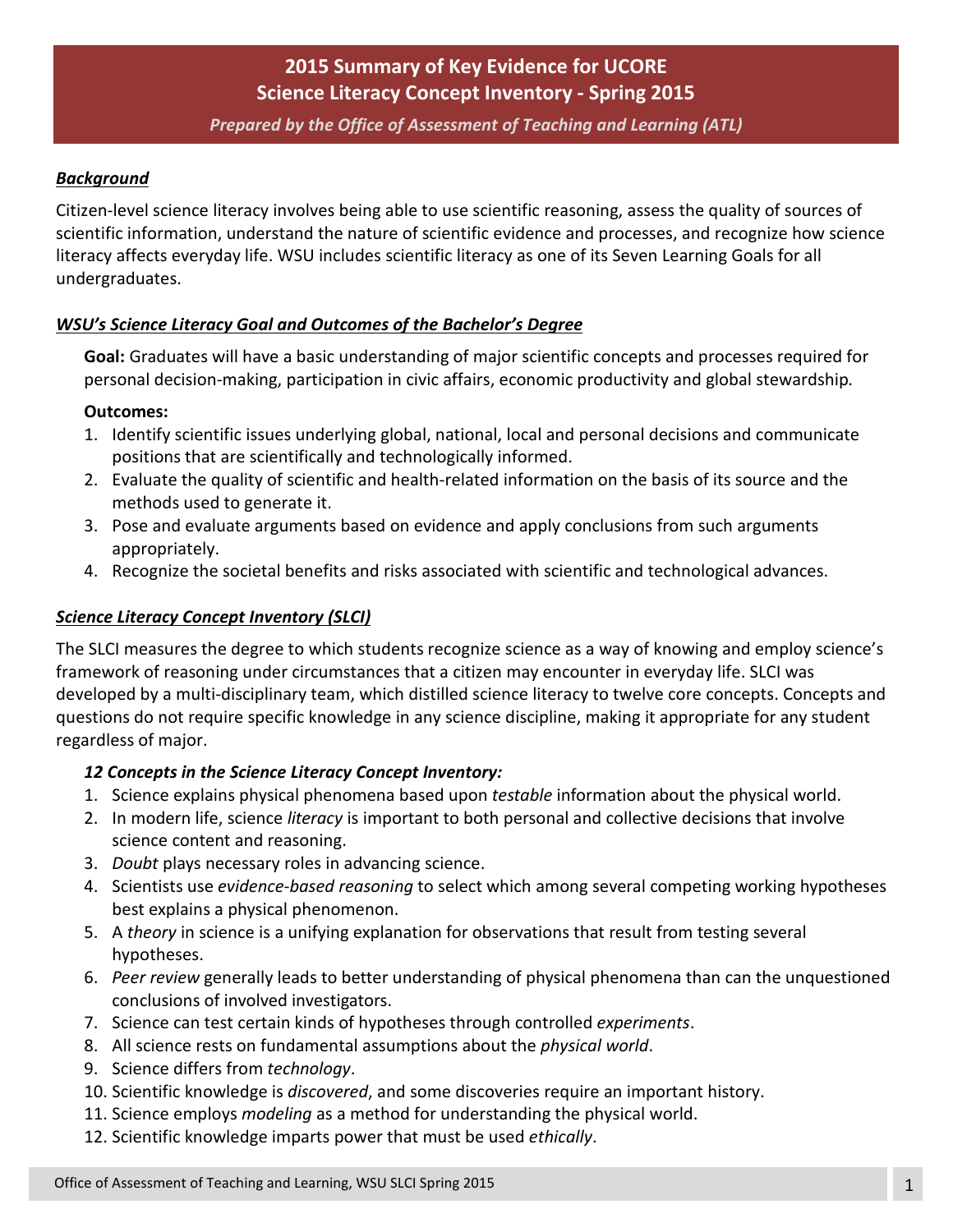# **2015 Summary of Key Evidence for UCORE Science Literacy Concept Inventory - Spring 2015**

#### *Prepared by the Office of Assessment of Teaching and Learning (ATL)*

#### *Background*

Citizen-level science literacy involves being able to use scientific reasoning, assess the quality of sources of scientific information, understand the nature of scientific evidence and processes, and recognize how science literacy affects everyday life. WSU includes scientific literacy as one of its Seven Learning Goals for all undergraduates.

#### *WSU's Science Literacy Goal and Outcomes of the Bachelor's Degree*

**Goal:** Graduates will have a basic understanding of major scientific concepts and processes required for personal decision-making, participation in civic affairs, economic productivity and global stewardship*.* 

#### **Outcomes:**

- 1. Identify scientific issues underlying global, national, local and personal decisions and communicate positions that are scientifically and technologically informed.
- 2. Evaluate the quality of scientific and health-related information on the basis of its source and the methods used to generate it.
- 3. Pose and evaluate arguments based on evidence and apply conclusions from such arguments appropriately.
- 4. Recognize the societal benefits and risks associated with scientific and technological advances.

#### *Science Literacy Concept Inventory (SLCI)*

The SLCI measures the degree to which students recognize science as a way of knowing and employ science's framework of reasoning under circumstances that a citizen may encounter in everyday life. SLCI was developed by a multi-disciplinary team, which distilled science literacy to twelve core concepts. Concepts and questions do not require specific knowledge in any science discipline, making it appropriate for any student regardless of major.

#### *12 Concepts in the Science Literacy Concept Inventory:*

- 1. Science explains physical phenomena based upon *testable* information about the physical world.
- 2. In modern life, science *literacy* is important to both personal and collective decisions that involve science content and reasoning.
- 3. *Doubt* plays necessary roles in advancing science.
- 4. Scientists use *evidence-based reasoning* to select which among several competing working hypotheses best explains a physical phenomenon.
- 5. A *theory* in science is a unifying explanation for observations that result from testing several hypotheses.
- 6. *Peer review* generally leads to better understanding of physical phenomena than can the unquestioned conclusions of involved investigators.
- 7. Science can test certain kinds of hypotheses through controlled *experiments*.
- 8. All science rests on fundamental assumptions about the *physical world*.
- 9. Science differs from *technology*.
- 10. Scientific knowledge is *discovered*, and some discoveries require an important history.
- 11. Science employs *modeling* as a method for understanding the physical world.
- 12. Scientific knowledge imparts power that must be used *ethically*.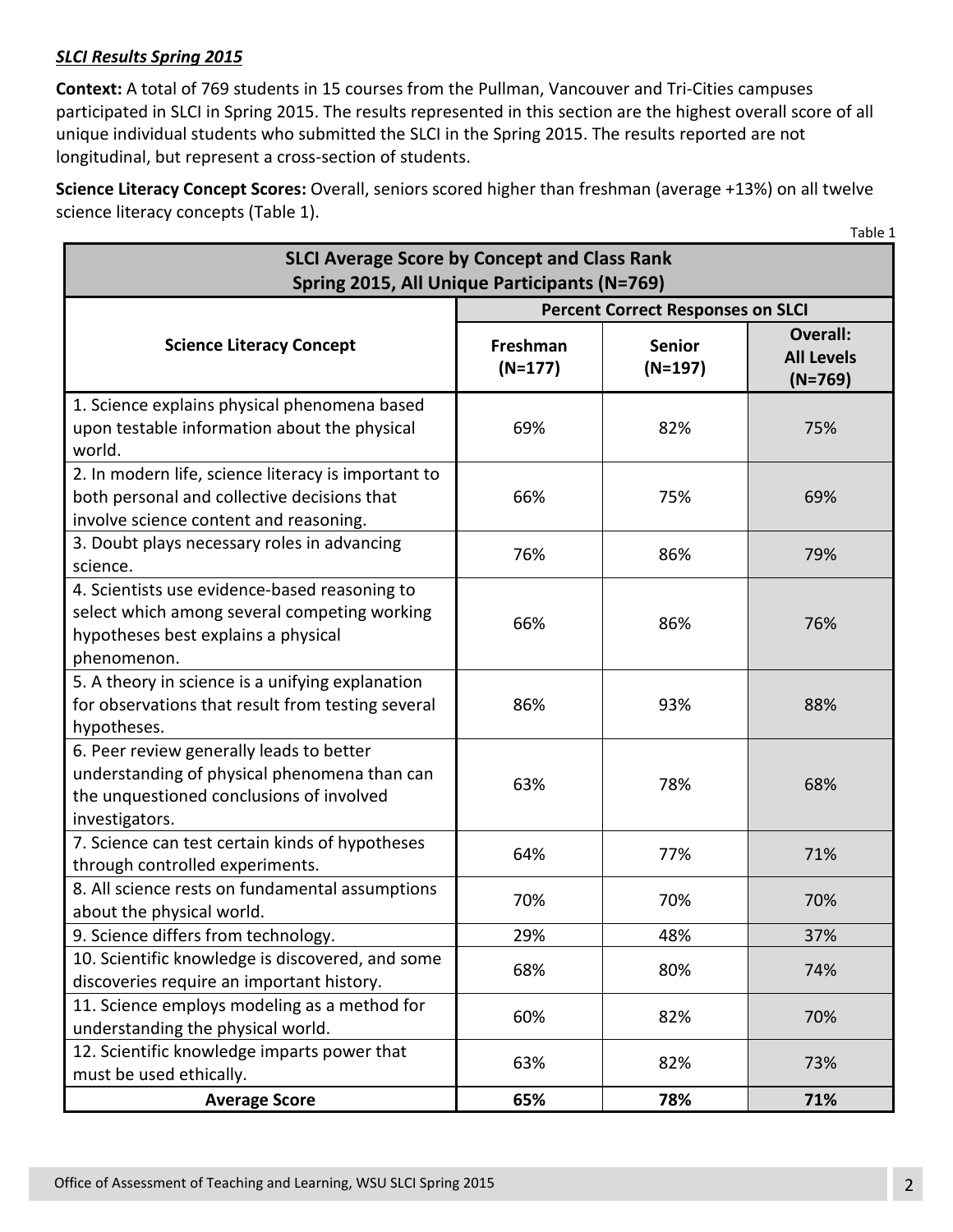## *SLCI Results Spring 2015*

**Context:** A total of 769 students in 15 courses from the Pullman, Vancouver and Tri-Cities campuses participated in SLCI in Spring 2015. The results represented in this section are the highest overall score of all unique individual students who submitted the SLCI in the Spring 2015. The results reported are not longitudinal, but represent a cross-section of students.

**Science Literacy Concept Scores:** Overall, seniors scored higher than freshman (average +13%) on all twelve science literacy concepts (Table 1).

|                                                                                                                                                        |                                          |                            | Table 1                                           |  |  |  |  |
|--------------------------------------------------------------------------------------------------------------------------------------------------------|------------------------------------------|----------------------------|---------------------------------------------------|--|--|--|--|
| <b>SLCI Average Score by Concept and Class Rank</b><br>Spring 2015, All Unique Participants (N=769)                                                    |                                          |                            |                                                   |  |  |  |  |
| <b>Science Literacy Concept</b>                                                                                                                        | <b>Percent Correct Responses on SLCI</b> |                            |                                                   |  |  |  |  |
|                                                                                                                                                        | Freshman<br>$(N=177)$                    | <b>Senior</b><br>$(N=197)$ | <b>Overall:</b><br><b>All Levels</b><br>$(N=769)$ |  |  |  |  |
| 1. Science explains physical phenomena based<br>upon testable information about the physical<br>world.                                                 | 69%                                      | 82%                        | 75%                                               |  |  |  |  |
| 2. In modern life, science literacy is important to<br>both personal and collective decisions that<br>involve science content and reasoning.           | 66%                                      | 75%                        | 69%                                               |  |  |  |  |
| 3. Doubt plays necessary roles in advancing<br>science.                                                                                                | 76%                                      | 86%                        | 79%                                               |  |  |  |  |
| 4. Scientists use evidence-based reasoning to<br>select which among several competing working<br>hypotheses best explains a physical<br>phenomenon.    | 66%                                      | 86%                        | 76%                                               |  |  |  |  |
| 5. A theory in science is a unifying explanation<br>for observations that result from testing several<br>hypotheses.                                   | 86%                                      | 93%                        | 88%                                               |  |  |  |  |
| 6. Peer review generally leads to better<br>understanding of physical phenomena than can<br>the unquestioned conclusions of involved<br>investigators. | 63%                                      | 78%                        | 68%                                               |  |  |  |  |
| 7. Science can test certain kinds of hypotheses<br>through controlled experiments.                                                                     | 64%                                      | 77%                        | 71%                                               |  |  |  |  |
| 8. All science rests on fundamental assumptions<br>about the physical world.                                                                           | 70%                                      | 70%                        | 70%                                               |  |  |  |  |
| 9. Science differs from technology.                                                                                                                    | 29%                                      | 48%                        | 37%                                               |  |  |  |  |
| 10. Scientific knowledge is discovered, and some<br>discoveries require an important history.                                                          | 68%                                      | 80%                        | 74%                                               |  |  |  |  |
| 11. Science employs modeling as a method for<br>understanding the physical world.                                                                      | 60%                                      | 82%                        | 70%                                               |  |  |  |  |
| 12. Scientific knowledge imparts power that<br>must be used ethically.                                                                                 | 63%                                      | 82%                        | 73%                                               |  |  |  |  |
| <b>Average Score</b>                                                                                                                                   | 65%                                      | 78%                        | 71%                                               |  |  |  |  |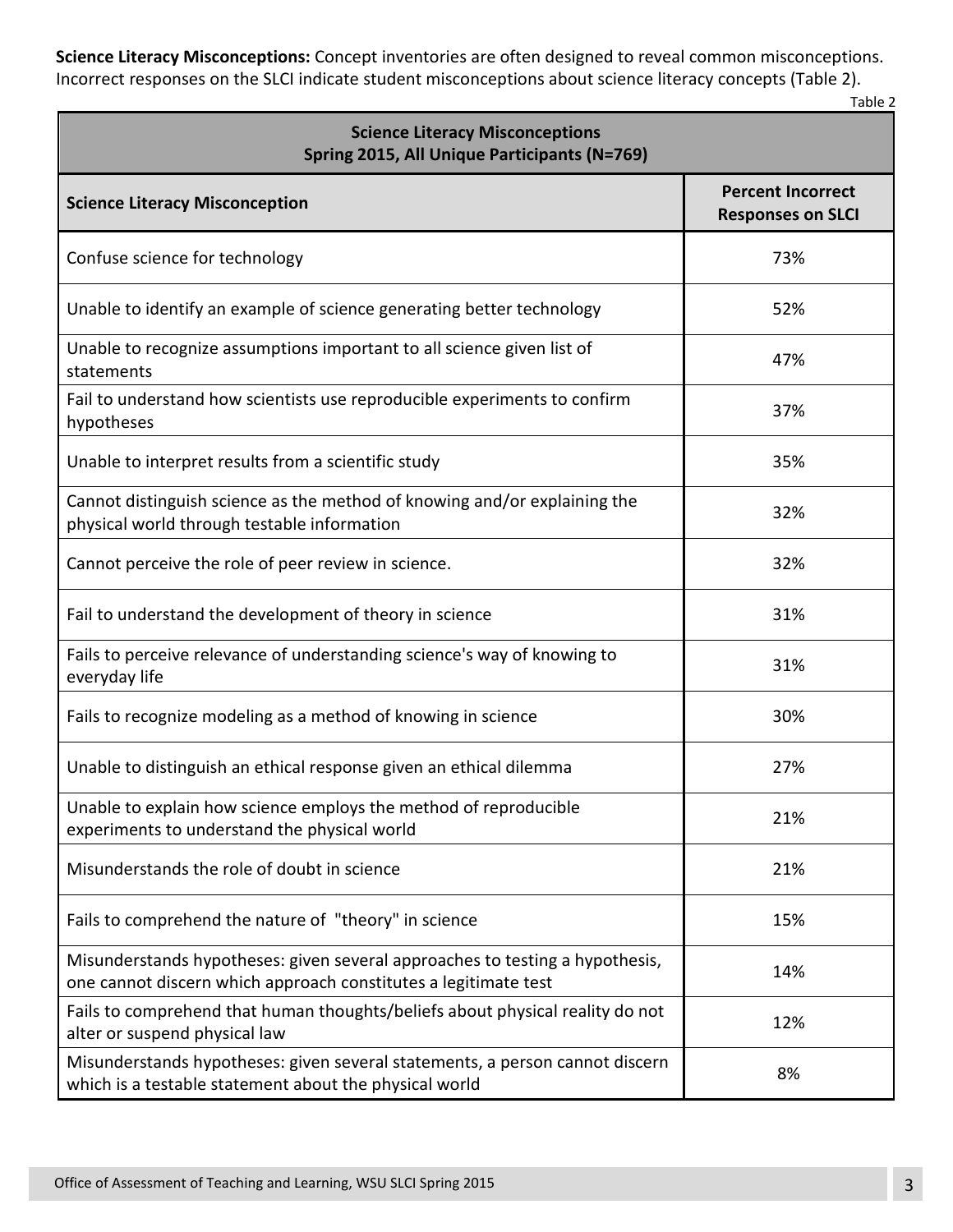**Science Literacy Misconceptions:** Concept inventories are often designed to reveal common misconceptions. Incorrect responses on the SLCI indicate student misconceptions about science literacy concepts (Table 2).

Table 2

| <b>Science Literacy Misconceptions</b><br>Spring 2015, All Unique Participants (N=769)                                                          |                                                      |  |  |  |  |
|-------------------------------------------------------------------------------------------------------------------------------------------------|------------------------------------------------------|--|--|--|--|
| <b>Science Literacy Misconception</b>                                                                                                           | <b>Percent Incorrect</b><br><b>Responses on SLCI</b> |  |  |  |  |
| Confuse science for technology                                                                                                                  | 73%                                                  |  |  |  |  |
| Unable to identify an example of science generating better technology                                                                           | 52%                                                  |  |  |  |  |
| Unable to recognize assumptions important to all science given list of<br>statements                                                            | 47%                                                  |  |  |  |  |
| Fail to understand how scientists use reproducible experiments to confirm<br>hypotheses                                                         | 37%                                                  |  |  |  |  |
| Unable to interpret results from a scientific study                                                                                             | 35%                                                  |  |  |  |  |
| Cannot distinguish science as the method of knowing and/or explaining the<br>physical world through testable information                        | 32%                                                  |  |  |  |  |
| Cannot perceive the role of peer review in science.                                                                                             | 32%                                                  |  |  |  |  |
| Fail to understand the development of theory in science                                                                                         | 31%                                                  |  |  |  |  |
| Fails to perceive relevance of understanding science's way of knowing to<br>everyday life                                                       | 31%                                                  |  |  |  |  |
| Fails to recognize modeling as a method of knowing in science                                                                                   | 30%                                                  |  |  |  |  |
| Unable to distinguish an ethical response given an ethical dilemma                                                                              | 27%                                                  |  |  |  |  |
| Unable to explain how science employs the method of reproducible<br>experiments to understand the physical world                                | 21%                                                  |  |  |  |  |
| Misunderstands the role of doubt in science                                                                                                     | 21%                                                  |  |  |  |  |
| Fails to comprehend the nature of "theory" in science                                                                                           | 15%                                                  |  |  |  |  |
| Misunderstands hypotheses: given several approaches to testing a hypothesis,<br>one cannot discern which approach constitutes a legitimate test | 14%                                                  |  |  |  |  |
| Fails to comprehend that human thoughts/beliefs about physical reality do not<br>alter or suspend physical law                                  | 12%                                                  |  |  |  |  |
| Misunderstands hypotheses: given several statements, a person cannot discern<br>which is a testable statement about the physical world          | 8%                                                   |  |  |  |  |